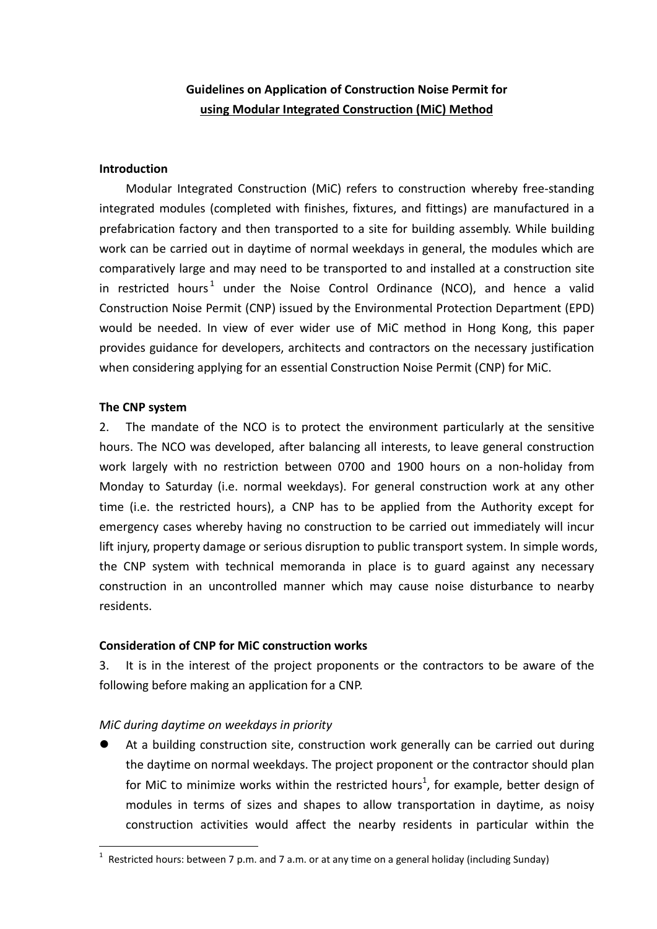# Guidelines on Application of Construction Noise Permit for using Modular Integrated Construction (MiC) Method

#### Introduction

 Modular Integrated Construction (MiC) refers to construction whereby free-standing integrated modules (completed with finishes, fixtures, and fittings) are manufactured in a prefabrication factory and then transported to a site for building assembly. While building work can be carried out in daytime of normal weekdays in general, the modules which are comparatively large and may need to be transported to and installed at a construction site in restricted hours<sup>1</sup> under the Noise Control Ordinance (NCO), and hence a valid Construction Noise Permit (CNP) issued by the Environmental Protection Department (EPD) would be needed. In view of ever wider use of MiC method in Hong Kong, this paper provides guidance for developers, architects and contractors on the necessary justification when considering applying for an essential Construction Noise Permit (CNP) for MiC.

#### The CNP system

-

2. The mandate of the NCO is to protect the environment particularly at the sensitive hours. The NCO was developed, after balancing all interests, to leave general construction work largely with no restriction between 0700 and 1900 hours on a non-holiday from Monday to Saturday (i.e. normal weekdays). For general construction work at any other time (i.e. the restricted hours), a CNP has to be applied from the Authority except for emergency cases whereby having no construction to be carried out immediately will incur lift injury, property damage or serious disruption to public transport system. In simple words, the CNP system with technical memoranda in place is to guard against any necessary construction in an uncontrolled manner which may cause noise disturbance to nearby residents.

#### Consideration of CNP for MiC construction works

3. It is in the interest of the project proponents or the contractors to be aware of the following before making an application for a CNP.

## MiC during daytime on weekdays in priority

 At a building construction site, construction work generally can be carried out during the daytime on normal weekdays. The project proponent or the contractor should plan for MiC to minimize works within the restricted hours<sup>1</sup>, for example, better design of modules in terms of sizes and shapes to allow transportation in daytime, as noisy construction activities would affect the nearby residents in particular within the

<sup>&</sup>lt;sup>1</sup> Restricted hours: between 7 p.m. and 7 a.m. or at any time on a general holiday (including Sunday)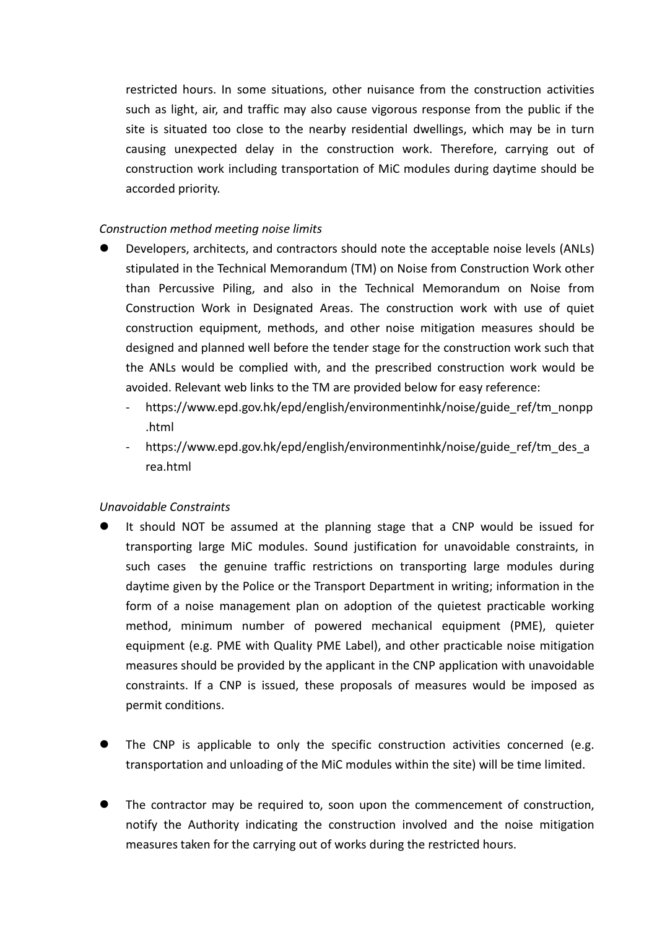restricted hours. In some situations, other nuisance from the construction activities such as light, air, and traffic may also cause vigorous response from the public if the site is situated too close to the nearby residential dwellings, which may be in turn causing unexpected delay in the construction work. Therefore, carrying out of construction work including transportation of MiC modules during daytime should be accorded priority.

## Construction method meeting noise limits

- Developers, architects, and contractors should note the acceptable noise levels (ANLs) stipulated in the Technical Memorandum (TM) on Noise from Construction Work other than Percussive Piling, and also in the Technical Memorandum on Noise from Construction Work in Designated Areas. The construction work with use of quiet construction equipment, methods, and other noise mitigation measures should be designed and planned well before the tender stage for the construction work such that the ANLs would be complied with, and the prescribed construction work would be avoided. Relevant web links to the TM are provided below for easy reference:
	- https://www.epd.gov.hk/epd/english/environmentinhk/noise/guide\_ref/tm\_nonpp .html
	- https://www.epd.gov.hk/epd/english/environmentinhk/noise/guide\_ref/tm\_des\_a rea.html

#### Unavoidable Constraints

- It should NOT be assumed at the planning stage that a CNP would be issued for transporting large MiC modules. Sound justification for unavoidable constraints, in such cases the genuine traffic restrictions on transporting large modules during daytime given by the Police or the Transport Department in writing; information in the form of a noise management plan on adoption of the quietest practicable working method, minimum number of powered mechanical equipment (PME), quieter equipment (e.g. PME with Quality PME Label), and other practicable noise mitigation measures should be provided by the applicant in the CNP application with unavoidable constraints. If a CNP is issued, these proposals of measures would be imposed as permit conditions.
- The CNP is applicable to only the specific construction activities concerned (e.g. transportation and unloading of the MiC modules within the site) will be time limited.
- The contractor may be required to, soon upon the commencement of construction, notify the Authority indicating the construction involved and the noise mitigation measures taken for the carrying out of works during the restricted hours.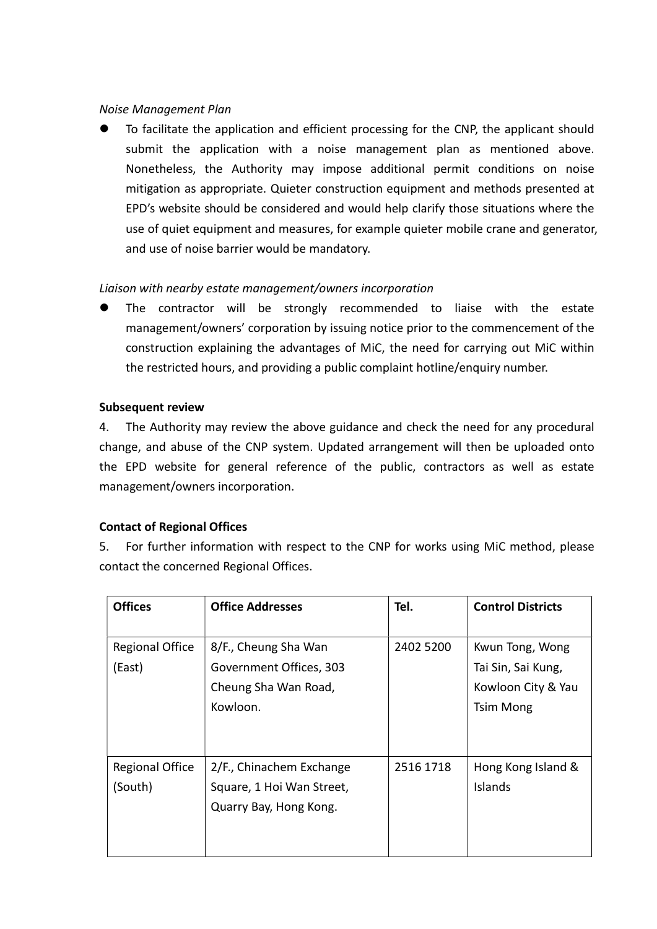### Noise Management Plan

 To facilitate the application and efficient processing for the CNP, the applicant should submit the application with a noise management plan as mentioned above. Nonetheless, the Authority may impose additional permit conditions on noise mitigation as appropriate. Quieter construction equipment and methods presented at EPD's website should be considered and would help clarify those situations where the use of quiet equipment and measures, for example quieter mobile crane and generator, and use of noise barrier would be mandatory.

## Liaison with nearby estate management/owners incorporation

 The contractor will be strongly recommended to liaise with the estate management/owners' corporation by issuing notice prior to the commencement of the construction explaining the advantages of MiC, the need for carrying out MiC within the restricted hours, and providing a public complaint hotline/enquiry number.

#### Subsequent review

4. The Authority may review the above guidance and check the need for any procedural change, and abuse of the CNP system. Updated arrangement will then be uploaded onto the EPD website for general reference of the public, contractors as well as estate management/owners incorporation.

## Contact of Regional Offices

5. For further information with respect to the CNP for works using MiC method, please contact the concerned Regional Offices.

| <b>Offices</b>                    | <b>Office Addresses</b>                                                             | Tel.      | <b>Control Districts</b>                                                        |
|-----------------------------------|-------------------------------------------------------------------------------------|-----------|---------------------------------------------------------------------------------|
| <b>Regional Office</b><br>(East)  | 8/F., Cheung Sha Wan<br>Government Offices, 303<br>Cheung Sha Wan Road,<br>Kowloon. | 2402 5200 | Kwun Tong, Wong<br>Tai Sin, Sai Kung,<br>Kowloon City & Yau<br><b>Tsim Mong</b> |
| <b>Regional Office</b><br>(South) | 2/F., Chinachem Exchange<br>Square, 1 Hoi Wan Street,<br>Quarry Bay, Hong Kong.     | 2516 1718 | Hong Kong Island &<br><b>Islands</b>                                            |